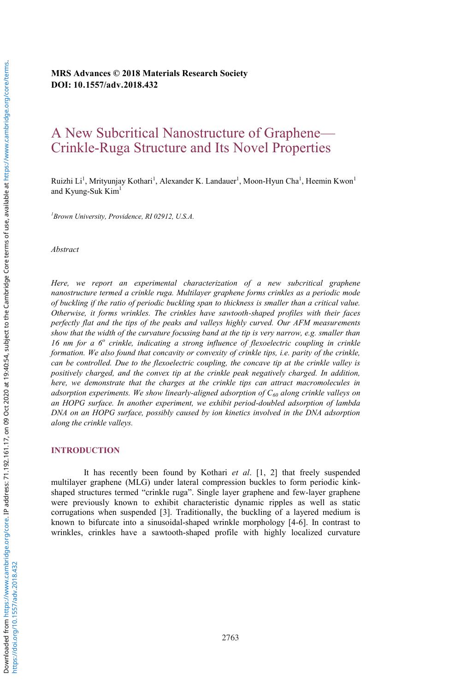**MRS Advances © 2018 Materials Research Society DOI: 10.1557/adv.2018.432**

# A New Subcritical Nanostructure of Graphene— Crinkle-Ruga Structure and Its Novel Properties

Ruizhi Li<sup>1</sup>, Mrityunjay Kothari<sup>1</sup>, Alexander K. Landauer<sup>1</sup>, Moon-Hyun Cha<sup>1</sup>, Heemin Kwon<sup>1</sup> and Kyung-Suk Kim<sup>1</sup>

*1 Brown University, Providence, RI 02912, U.S.A.* 

*Abstract* 

*Here, we report an experimental characterization of a new subcritical graphene nanostructure termed a crinkle ruga. Multilayer graphene forms crinkles as a periodic mode of buckling if the ratio of periodic buckling span to thickness is smaller than a critical value. Otherwise, it forms wrinkles. The crinkles have sawtooth-shaped profiles with their faces perfectly flat and the tips of the peaks and valleys highly curved. Our AFM measurements show that the width of the curvature focusing band at the tip is very narrow, e.g. smaller than 16 nm for a 6<sup>o</sup> crinkle, indicating a strong influence of flexoelectric coupling in crinkle formation. We also found that concavity or convexity of crinkle tips, i.e. parity of the crinkle, can be controlled. Due to the flexoelectric coupling, the concave tip at the crinkle valley is positively charged, and the convex tip at the crinkle peak negatively charged. In addition, here, we demonstrate that the charges at the crinkle tips can attract macromolecules in adsorption experiments. We show linearly-aligned adsorption of C60 along crinkle valleys on an HOPG surface. In another experiment, we exhibit period-doubled adsorption of lambda DNA on an HOPG surface, possibly caused by ion kinetics involved in the DNA adsorption along the crinkle valleys.* 

#### **INTRODUCTION**

It has recently been found by Kothari *et al*. [1, 2] that freely suspended multilayer graphene (MLG) under lateral compression buckles to form periodic kinkshaped structures termed "crinkle ruga". Single layer graphene and few-layer graphene were previously known to exhibit characteristic dynamic ripples as well as static corrugations when suspended [3]. Traditionally, the buckling of a layered medium is known to bifurcate into a sinusoidal-shaped wrinkle morphology [4-6]. In contrast to wrinkles, crinkles have a sawtooth-shaped profile with highly localized curvature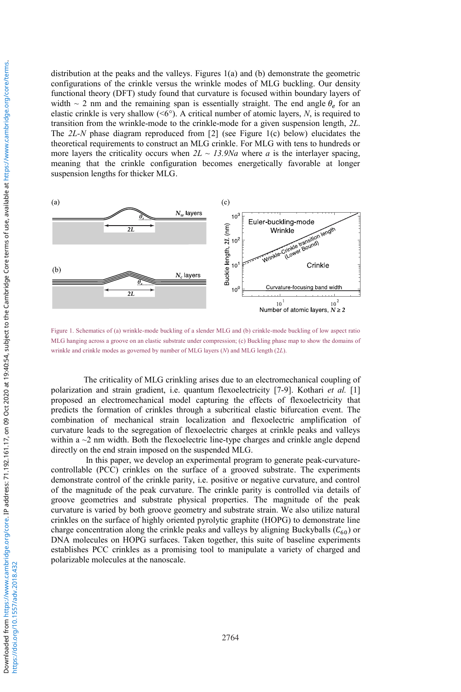distribution at the peaks and the valleys. Figures 1(a) and (b) demonstrate the geometric configurations of the crinkle versus the wrinkle modes of MLG buckling. Our density functional theory (DFT) study found that curvature is focused within boundary layers of width  $\sim$  2 nm and the remaining span is essentially straight. The end angle  $\theta_e$  for an elastic crinkle is very shallow  $( $6^{\circ}$ ). A critical number of atomic layers, *N*, is required to$ transition from the wrinkle-mode to the crinkle-mode for a given suspension length, *2L*. The *2L-N* phase diagram reproduced from [2] (see Figure 1(c) below) elucidates the theoretical requirements to construct an MLG crinkle. For MLG with tens to hundreds or more layers the criticality occurs when  $2L \sim 13.9Na$  where *a* is the interlayer spacing, meaning that the crinkle configuration becomes energetically favorable at longer suspension lengths for thicker MLG.



Figure 1. Schematics of (a) wrinkle-mode buckling of a slender MLG and (b) crinkle-mode buckling of low aspect ratio MLG hanging across a groove on an elastic substrate under compression; (c) Buckling phase map to show the domains of wrinkle and crinkle modes as governed by number of MLG layers (*N*) and MLG length (2*L*).

The criticality of MLG crinkling arises due to an electromechanical coupling of polarization and strain gradient, i.e. quantum flexoelectricity [7-9]. Kothari *et al.* [1] proposed an electromechanical model capturing the effects of flexoelectricity that predicts the formation of crinkles through a subcritical elastic bifurcation event. The combination of mechanical strain localization and flexoelectric amplification of curvature leads to the segregation of flexoelectric charges at crinkle peaks and valleys within a  $\sim$  2 nm width. Both the flexoelectric line-type charges and crinkle angle depend directly on the end strain imposed on the suspended MLG.

 In this paper, we develop an experimental program to generate peak-curvaturecontrollable (PCC) crinkles on the surface of a grooved substrate. The experiments demonstrate control of the crinkle parity, i.e. positive or negative curvature, and control of the magnitude of the peak curvature. The crinkle parity is controlled via details of groove geometries and substrate physical properties. The magnitude of the peak curvature is varied by both groove geometry and substrate strain. We also utilize natural crinkles on the surface of highly oriented pyrolytic graphite (HOPG) to demonstrate line charge concentration along the crinkle peaks and valleys by aligning Buckyballs ( $C_{60}$ ) or DNA molecules on HOPG surfaces. Taken together, this suite of baseline experiments establishes PCC crinkles as a promising tool to manipulate a variety of charged and polarizable molecules at the nanoscale.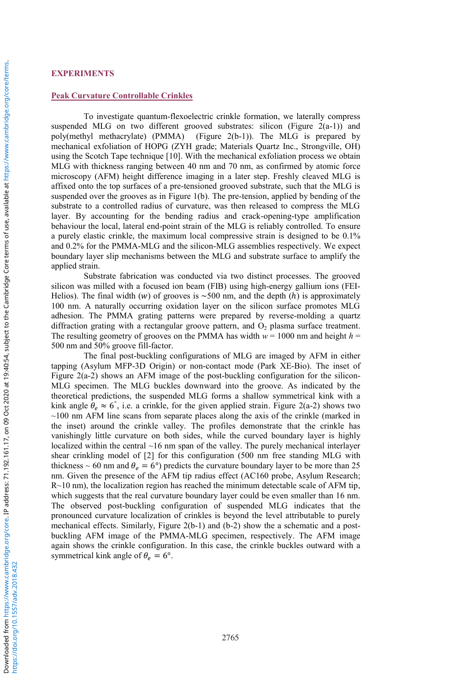# **EXPERIMENTS**

### **Peak Curvature Controllable Crinkles**

To investigate quantum-flexoelectric crinkle formation, we laterally compress suspended MLG on two different grooved substrates: silicon (Figure  $2(a-1)$ ) and poly(methyl methacrylate) (PMMA) (Figure 2(b-1)). The MLG is prepared by mechanical exfoliation of HOPG (ZYH grade; Materials Quartz Inc., Strongville, OH) using the Scotch Tape technique [10]. With the mechanical exfoliation process we obtain MLG with thickness ranging between 40 nm and 70 nm, as confirmed by atomic force microscopy (AFM) height difference imaging in a later step. Freshly cleaved MLG is affixed onto the top surfaces of a pre-tensioned grooved substrate, such that the MLG is suspended over the grooves as in Figure 1(b). The pre-tension, applied by bending of the substrate to a controlled radius of curvature, was then released to compress the MLG layer. By accounting for the bending radius and crack-opening-type amplification behaviour the local, lateral end-point strain of the MLG is reliably controlled. To ensure a purely elastic crinkle, the maximum local compressive strain is designed to be 0.1% and 0.2% for the PMMA-MLG and the silicon-MLG assemblies respectively. We expect boundary layer slip mechanisms between the MLG and substrate surface to amplify the applied strain.

Substrate fabrication was conducted via two distinct processes. The grooved silicon was milled with a focused ion beam (FIB) using high-energy gallium ions (FEI-Helios). The final width (w) of grooves is  $\sim$  500 nm, and the depth (h) is approximately 100 nm. A naturally occurring oxidation layer on the silicon surface promotes MLG adhesion. The PMMA grating patterns were prepared by reverse-molding a quartz diffraction grating with a rectangular groove pattern, and  $O<sub>2</sub>$  plasma surface treatment. The resulting geometry of grooves on the PMMA has width  $w = 1000$  nm and height  $h =$ 500 nm and 50% groove fill-factor.

The final post-buckling configurations of MLG are imaged by AFM in either tapping (Asylum MFP-3D Origin) or non-contact mode (Park XE-Bio). The inset of Figure 2(a-2) shows an AFM image of the post-buckling configuration for the silicon-MLG specimen. The MLG buckles downward into the groove. As indicated by the theoretical predictions, the suspended MLG forms a shallow symmetrical kink with a kink angle  $\theta_e \approx 6^{\circ}$ , i.e. a crinkle, for the given applied strain. Figure 2(a-2) shows two  $\sim$ 100 nm AFM line scans from separate places along the axis of the crinkle (marked in the inset) around the crinkle valley. The profiles demonstrate that the crinkle has vanishingly little curvature on both sides, while the curved boundary layer is highly localized within the central ~16 nm span of the valley. The purely mechanical interlayer shear crinkling model of [2] for this configuration (500 nm free standing MLG with thickness ~ 60 nm and  $\theta_e = 6^{\circ}$ ) predicts the curvature boundary layer to be more than 25 nm. Given the presence of the AFM tip radius effect (AC160 probe, Asylum Research;  $R~10$  nm), the localization region has reached the minimum detectable scale of AFM tip. which suggests that the real curvature boundary layer could be even smaller than 16 nm. The observed post-buckling configuration of suspended MLG indicates that the pronounced curvature localization of crinkles is beyond the level attributable to purely mechanical effects. Similarly, Figure 2(b-1) and (b-2) show the a schematic and a postbuckling AFM image of the PMMA-MLG specimen, respectively. The AFM image again shows the crinkle configuration. In this case, the crinkle buckles outward with a symmetrical kink angle of  $\theta_e = 6^\circ$ .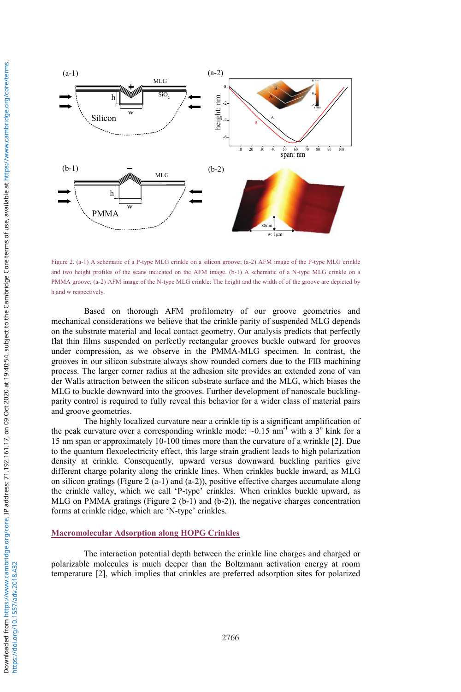

Figure 2. (a-1) A schematic of a P-type MLG crinkle on a silicon groove; (a-2) AFM image of the P-type MLG crinkle and two height profiles of the scans indicated on the AFM image. (b-1) A schematic of a N-type MLG crinkle on a PMMA groove; (a-2) AFM image of the N-type MLG crinkle: The height and the width of of the groove are depicted by h and w respectively.

Based on thorough AFM profilometry of our groove geometries and mechanical considerations we believe that the crinkle parity of suspended MLG depends on the substrate material and local contact geometry. Our analysis predicts that perfectly flat thin films suspended on perfectly rectangular grooves buckle outward for grooves under compression, as we observe in the PMMA-MLG specimen. In contrast, the grooves in our silicon substrate always show rounded corners due to the FIB machining process. The larger corner radius at the adhesion site provides an extended zone of van der Walls attraction between the silicon substrate surface and the MLG, which biases the MLG to buckle downward into the grooves. Further development of nanoscale bucklingparity control is required to fully reveal this behavior for a wider class of material pairs and groove geometries.

The highly localized curvature near a crinkle tip is a significant amplification of the peak curvature over a corresponding wrinkle mode:  $\sim 0.15$  nm<sup>-1</sup> with a  $3^\circ$  kink for a 15 nm span or approximately 10-100 times more than the curvature of a wrinkle [2]. Due to the quantum flexoelectricity effect, this large strain gradient leads to high polarization density at crinkle. Consequently, upward versus downward buckling parities give different charge polarity along the crinkle lines. When crinkles buckle inward, as MLG on silicon gratings (Figure 2 (a-1) and (a-2)), positive effective charges accumulate along the crinkle valley, which we call 'P-type' crinkles. When crinkles buckle upward, as MLG on PMMA gratings (Figure 2 (b-1) and (b-2)), the negative charges concentration forms at crinkle ridge, which are 'N-type' crinkles.

# **Macromolecular Adsorption along HOPG Crinkles**

The interaction potential depth between the crinkle line charges and charged or polarizable molecules is much deeper than the Boltzmann activation energy at room temperature [2], which implies that crinkles are preferred adsorption sites for polarized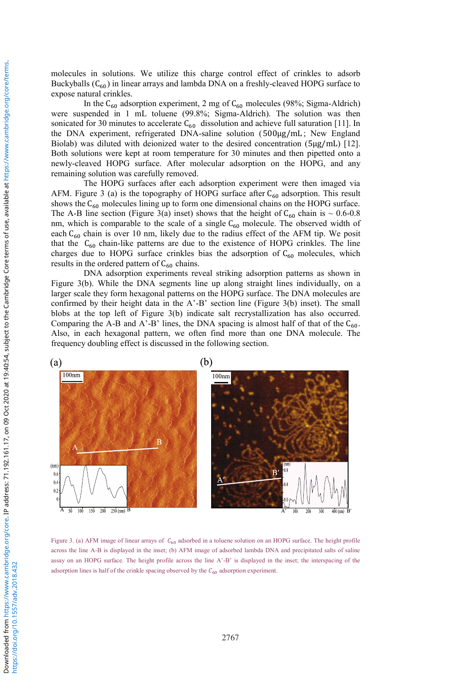molecules in solutions. We utilize this charge control effect of crinkles to adsorb Buckyballs  $(C_{60})$  in linear arrays and lambda DNA on a freshly-cleaved HOPG surface to expose natural crinkles.

In the  $C_{60}$  adsorption experiment, 2 mg of  $C_{60}$  molecules (98%; Sigma-Aldrich) were suspended in 1 mL toluene (99.8%; Sigma-Aldrich). The solution was then sonicated for 30 minutes to accelerate  $C_{60}$  dissolution and achieve full saturation [11]. In the DNA experiment, refrigerated DNA-saline solution (500μg/mL; New England Biolab) was diluted with deionized water to the desired concentration (5µg/mL) [12]. Both solutions were kept at room temperature for 30 minutes and then pipetted onto a newly-cleaved HOPG surface. After molecular adsorption on the HOPG, and any remaining solution was carefully removed.

The HOPG surfaces after each adsorption experiment were then imaged via AFM. Figure 3 (a) is the topography of HOPG surface after  $C_{60}$  adsorption. This result shows the  $C_{60}$  molecules lining up to form one dimensional chains on the HOPG surface. The A-B line section (Figure 3(a) inset) shows that the height of  $C_{60}$  chain is ~ 0.6-0.8 nm, which is comparable to the scale of a single  $C_{60}$  molecule. The observed width of each  $C_{60}$  chain is over 10 nm, likely due to the radius effect of the AFM tip. We posit that the  $C_{60}$  chain-like patterns are due to the existence of HOPG crinkles. The line charges due to HOPG surface crinkles bias the adsorption of  $C_{60}$  molecules, which results in the ordered pattern of  $C_{60}$  chains.

DNA adsorption experiments reveal striking adsorption patterns as shown in Figure 3(b). While the DNA segments line up along straight lines individually, on a larger scale they form hexagonal patterns on the HOPG surface. The DNA molecules are confirmed by their height data in the A'-B' section line (Figure 3(b) inset). The small blobs at the top left of Figure 3(b) indicate salt recrystallization has also occurred. Comparing the A-B and A'-B' lines, the DNA spacing is almost half of that of the  $C_{60}$ . Also, in each hexagonal pattern, we often find more than one DNA molecule. The frequency doubling effect is discussed in the following section.



Figure 3. (a) AFM image of linear arrays of  $C_{60}$  adsorbed in a toluene solution on an HOPG surface. The height profile across the line A-B is displayed in the inset; (b) AFM image of adsorbed lambda DNA and precipitated salts of saline assay on an HOPG surface. The height profile across the line A'-B' is displayed in the inset; the interspacing of the adsorption lines is half of the crinkle spacing observed by the  $C_{60}$  adsorption experiment.

https://www.cambridge.org/core. IP address: 71.192.161.17, on 09 Oct 2020 at 19:40:54, subject to the Cambridge Core terms of use, available at https://www.cambridge.org/core/terms.

Downloaded from https://www.cambridge.org/core. IP address: 71.192.161.17, on 09 Oct 2020 at 19:40:54, subject to the Cambridge Core terms of use, available at https://www.cambridge.org/core/terms.

Downloaded from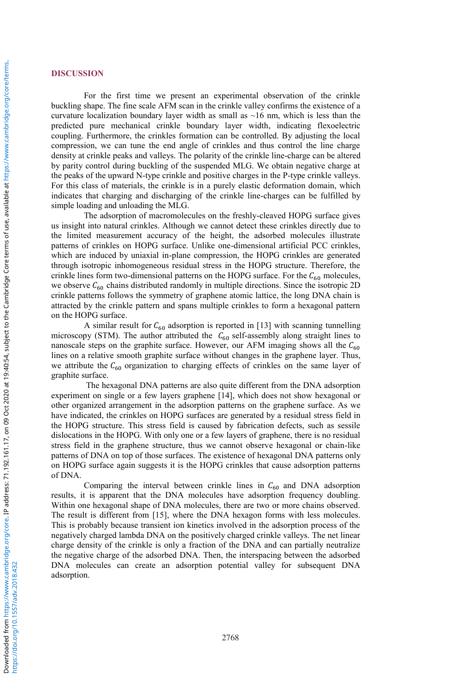## **DISCUSSION**

For the first time we present an experimental observation of the crinkle buckling shape. The fine scale AFM scan in the crinkle valley confirms the existence of a curvature localization boundary layer width as small as  $\sim$ 16 nm, which is less than the predicted pure mechanical crinkle boundary layer width, indicating flexoelectric coupling. Furthermore, the crinkles formation can be controlled. By adjusting the local compression, we can tune the end angle of crinkles and thus control the line charge density at crinkle peaks and valleys. The polarity of the crinkle line-charge can be altered by parity control during buckling of the suspended MLG. We obtain negative charge at the peaks of the upward N-type crinkle and positive charges in the P-type crinkle valleys. For this class of materials, the crinkle is in a purely elastic deformation domain, which indicates that charging and discharging of the crinkle line-charges can be fulfilled by simple loading and unloading the MLG.

The adsorption of macromolecules on the freshly-cleaved HOPG surface gives us insight into natural crinkles. Although we cannot detect these crinkles directly due to the limited measurement accuracy of the height, the adsorbed molecules illustrate patterns of crinkles on HOPG surface. Unlike one-dimensional artificial PCC crinkles, which are induced by uniaxial in-plane compression, the HOPG crinkles are generated through isotropic inhomogeneous residual stress in the HOPG structure. Therefore, the crinkle lines form two-dimensional patterns on the HOPG surface. For the  $C_{60}$  molecules, we observe  $C_{60}$  chains distributed randomly in multiple directions. Since the isotropic 2D crinkle patterns follows the symmetry of graphene atomic lattice, the long DNA chain is attracted by the crinkle pattern and spans multiple crinkles to form a hexagonal pattern on the HOPG surface.

A similar result for  $C_{60}$  adsorption is reported in [13] with scanning tunnelling microscopy (STM). The author attributed the  $C_{60}$  self-assembly along straight lines to nanoscale steps on the graphite surface. However, our AFM imaging shows all the  $C_{60}$ lines on a relative smooth graphite surface without changes in the graphene layer. Thus, we attribute the  $C_{60}$  organization to charging effects of crinkles on the same layer of graphite surface.

 The hexagonal DNA patterns are also quite different from the DNA adsorption experiment on single or a few layers graphene [14], which does not show hexagonal or other organized arrangement in the adsorption patterns on the graphene surface. As we have indicated, the crinkles on HOPG surfaces are generated by a residual stress field in the HOPG structure. This stress field is caused by fabrication defects, such as sessile dislocations in the HOPG. With only one or a few layers of graphene, there is no residual stress field in the graphene structure, thus we cannot observe hexagonal or chain-like patterns of DNA on top of those surfaces. The existence of hexagonal DNA patterns only on HOPG surface again suggests it is the HOPG crinkles that cause adsorption patterns of DNA.

Comparing the interval between crinkle lines in  $C_{60}$  and DNA adsorption results, it is apparent that the DNA molecules have adsorption frequency doubling. Within one hexagonal shape of DNA molecules, there are two or more chains observed. The result is different from [15], where the DNA hexagon forms with less molecules. This is probably because transient ion kinetics involved in the adsorption process of the negatively charged lambda DNA on the positively charged crinkle valleys. The net linear charge density of the crinkle is only a fraction of the DNA and can partially neutralize the negative charge of the adsorbed DNA. Then, the interspacing between the adsorbed DNA molecules can create an adsorption potential valley for subsequent DNA adsorption.